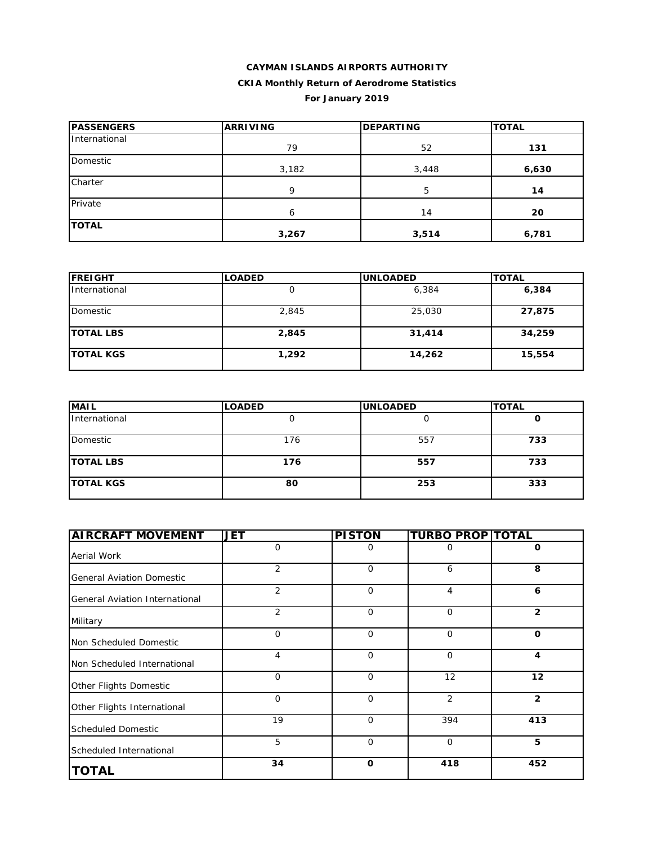### **CAYMAN ISLANDS AIRPORTS AUTHORITY CKIA Monthly Return of Aerodrome Statistics For January 2019**

| <b>PASSENGERS</b> | <b>ARRIVING</b> | <b>DEPARTING</b> | <b>TOTAL</b> |
|-------------------|-----------------|------------------|--------------|
| International     | 79              | 52               | 131          |
| Domestic          | 3,182           | 3,448            | 6,630        |
| Charter           | 9               | 5                | 14           |
| Private           | 6               | 14               | 20           |
| <b>TOTAL</b>      | 3,267           | 3,514            | 6,781        |

| <b>IFREIGHT</b>  | <b>LOADED</b> | <b>IUNLOADED</b> | <b>TOTAL</b> |
|------------------|---------------|------------------|--------------|
| International    |               | 6,384            | 6,384        |
| Domestic         | 2,845         | 25,030           | 27,875       |
| <b>TOTAL LBS</b> | 2,845         | 31,414           | 34,259       |
| <b>TOTAL KGS</b> | 1,292         | 14,262           | 15,554       |

| <b>MAIL</b>      | <b>LOADED</b> | <b>UNLOADED</b> | <b>TOTAL</b> |
|------------------|---------------|-----------------|--------------|
| International    | ີ             |                 |              |
| Domestic         | 176           | 557             | 733          |
| <b>TOTAL LBS</b> | 176           | 557             | 733          |
| <b>TOTAL KGS</b> | 80            | 253             | 333          |

| <b>AIRCRAFT MOVEMENT</b>         | <b>JET</b>     | <b>PISTON</b> | <b>TURBO PROP TOTAL</b> |                |
|----------------------------------|----------------|---------------|-------------------------|----------------|
| Aerial Work                      | $\Omega$       | 0             | 0                       | 0              |
| <b>General Aviation Domestic</b> | $\overline{2}$ | 0             | 6                       | 8              |
| General Aviation International   | 2              | $\mathbf 0$   | 4                       | 6              |
| Military                         | 2              | $\Omega$      | $\Omega$                | $\overline{2}$ |
| Non Scheduled Domestic           | 0              | $\mathbf 0$   | $\mathbf 0$             | 0              |
| Non Scheduled International      | 4              | $\Omega$      | $\mathbf 0$             | 4              |
| Other Flights Domestic           | $\Omega$       | $\Omega$      | 12                      | 12             |
| Other Flights International      | 0              | $\Omega$      | $\overline{2}$          | $\overline{2}$ |
| <b>Scheduled Domestic</b>        | 19             | $\mathbf 0$   | 394                     | 413            |
| Scheduled International          | 5              | $\mathbf 0$   | $\mathbf 0$             | 5              |
| <b>TOTAL</b>                     | 34             | $\mathbf 0$   | 418                     | 452            |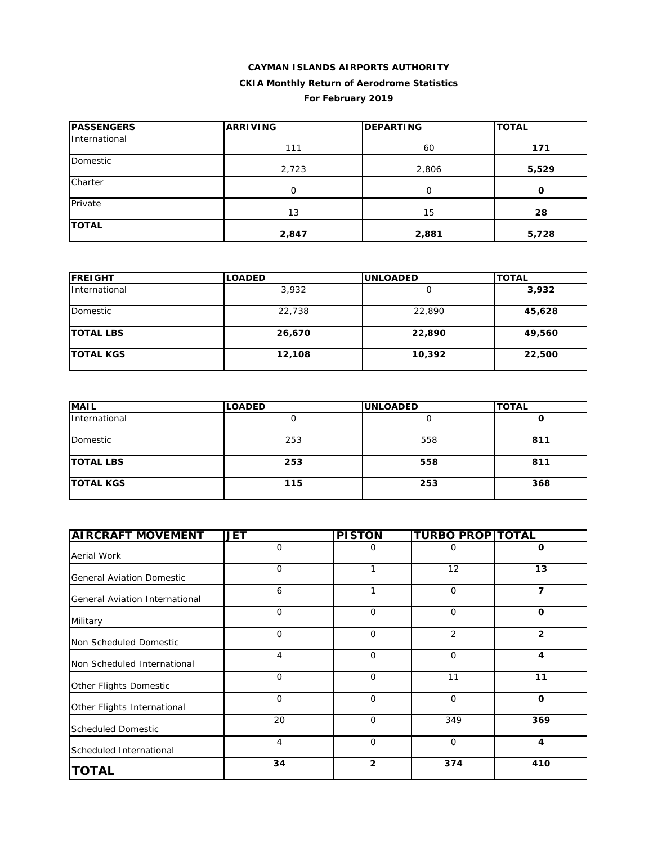### **CAYMAN ISLANDS AIRPORTS AUTHORITY CKIA Monthly Return of Aerodrome Statistics For February 2019**

| <b>PASSENGERS</b> | <b>ARRIVING</b> | <b>DEPARTING</b> | <b>TOTAL</b> |  |
|-------------------|-----------------|------------------|--------------|--|
| International     | 111             | 60               | 171          |  |
| Domestic          | 2,723           | 2,806            | 5,529        |  |
| Charter           | 0               | 0                | $\mathbf{o}$ |  |
| Private           | 13              | 15               | 28           |  |
| <b>TOTAL</b>      | 2,847           | 2,881            | 5,728        |  |

| <b>IFREIGHT</b>   | <b>LOADED</b> | <b>UNLOADED</b> | <b>TOTAL</b> |
|-------------------|---------------|-----------------|--------------|
| International     | 3,932         |                 | 3,932        |
| Domestic          | 22,738        | 22,890          | 45,628       |
| <b>TOTAL LBS</b>  | 26,670        | 22,890          | 49,560       |
| <b>ITOTAL KGS</b> | 12,108        | 10,392          | 22,500       |

| <b>MAIL</b>      | <b>LOADED</b> | <b>UNLOADED</b> | <b>TOTAL</b> |
|------------------|---------------|-----------------|--------------|
| International    |               |                 | u            |
| Domestic         | 253           | 558             | 811          |
| <b>TOTAL LBS</b> | 253           | 558             | 811          |
| <b>TOTAL KGS</b> | 115           | 253             | 368          |

| <b>AIRCRAFT MOVEMENT</b>         | <b>JET</b>  | <b>PISTON</b>  | <b>TURBO PROP TOTAL</b> |                |
|----------------------------------|-------------|----------------|-------------------------|----------------|
| Aerial Work                      | 0           | O              | Ο                       | 0              |
| <b>General Aviation Domestic</b> | $\mathbf 0$ | 1              | 12                      | 13             |
| General Aviation International   | 6           | 1              | $\mathbf 0$             | 7              |
| Military                         | $\Omega$    | $\Omega$       | $\Omega$                | $\Omega$       |
| Non Scheduled Domestic           | 0           | $\mathbf 0$    | $\overline{2}$          | $\overline{2}$ |
| Non Scheduled International      | 4           | $\mathbf 0$    | $\mathbf 0$             | 4              |
| Other Flights Domestic           | $\Omega$    | $\Omega$       | 11                      | 11             |
| Other Flights International      | $\mathbf 0$ | $\Omega$       | $\Omega$                | $\mathbf{o}$   |
| <b>Scheduled Domestic</b>        | 20          | $\mathbf 0$    | 349                     | 369            |
| Scheduled International          | 4           | $\mathbf 0$    | $\mathbf 0$             | 4              |
| <b>TOTAL</b>                     | 34          | $\overline{2}$ | 374                     | 410            |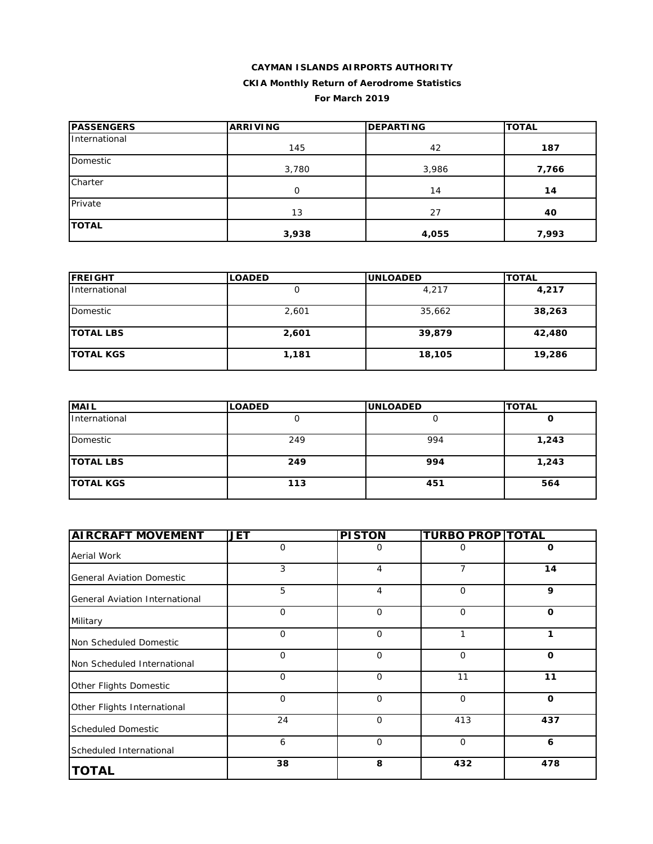#### **CAYMAN ISLANDS AIRPORTS AUTHORITY CKIA Monthly Return of Aerodrome Statistics**

#### **For March 2019**

| <b>PASSENGERS</b> | <b>ARRIVING</b> | <b>DEPARTING</b> | <b>TOTAL</b> |  |
|-------------------|-----------------|------------------|--------------|--|
| International     | 145             | 42               | 187          |  |
| <b>Domestic</b>   | 3,780           | 3,986            | 7,766        |  |
| Charter           | $\mathbf 0$     | 14               | 14           |  |
| Private           | 13              | 27               | 40           |  |
| <b>TOTAL</b>      | 3,938           | 4,055            | 7,993        |  |

| <b>FREIGHT</b>   | <b>LOADED</b> | <b>UNLOADED</b> | <b>TOTAL</b> |
|------------------|---------------|-----------------|--------------|
| International    |               | 4,217           | 4,217        |
| Domestic         | 2,601         | 35,662          | 38,263       |
| <b>TOTAL LBS</b> | 2,601         | 39,879          | 42,480       |
| <b>TOTAL KGS</b> | 1,181         | 18,105          | 19,286       |

| <b>MAIL</b>      | <b>LOADED</b> | <b>UNLOADED</b> | <b>TOTAL</b> |
|------------------|---------------|-----------------|--------------|
| International    |               |                 | u            |
| Domestic         | 249           | 994             | 1,243        |
| <b>TOTAL LBS</b> | 249           | 994             | 1,243        |
| <b>TOTAL KGS</b> | 113           | 451             | 564          |

| <b>AIRCRAFT MOVEMENT</b>         | <b>JET</b>  | <b>PISTON</b>  | <b>TURBO PROP TOTAL</b> |             |
|----------------------------------|-------------|----------------|-------------------------|-------------|
| Aerial Work                      | 0           | 0              | $\mathbf 0$             | 0           |
| <b>General Aviation Domestic</b> | 3           | 4              | 7                       | 14          |
| General Aviation International   | 5           | $\overline{4}$ | $\mathbf 0$             | 9           |
| Military                         | $\mathbf 0$ | $\mathbf 0$    | $\mathbf 0$             | $\mathbf 0$ |
| Non Scheduled Domestic           | $\mathbf 0$ | $\mathbf 0$    | 1                       | 1           |
| Non Scheduled International      | $\mathbf 0$ | $\mathbf 0$    | $\mathbf 0$             | O           |
| Other Flights Domestic           | $\mathbf 0$ | $\mathbf 0$    | 11                      | 11          |
| Other Flights International      | $\mathbf 0$ | $\mathbf 0$    | $\mathbf 0$             | O           |
| <b>Scheduled Domestic</b>        | 24          | $\Omega$       | 413                     | 437         |
| Scheduled International          | 6           | 0              | $\mathbf 0$             | 6           |
| <b>TOTAL</b>                     | 38          | 8              | 432                     | 478         |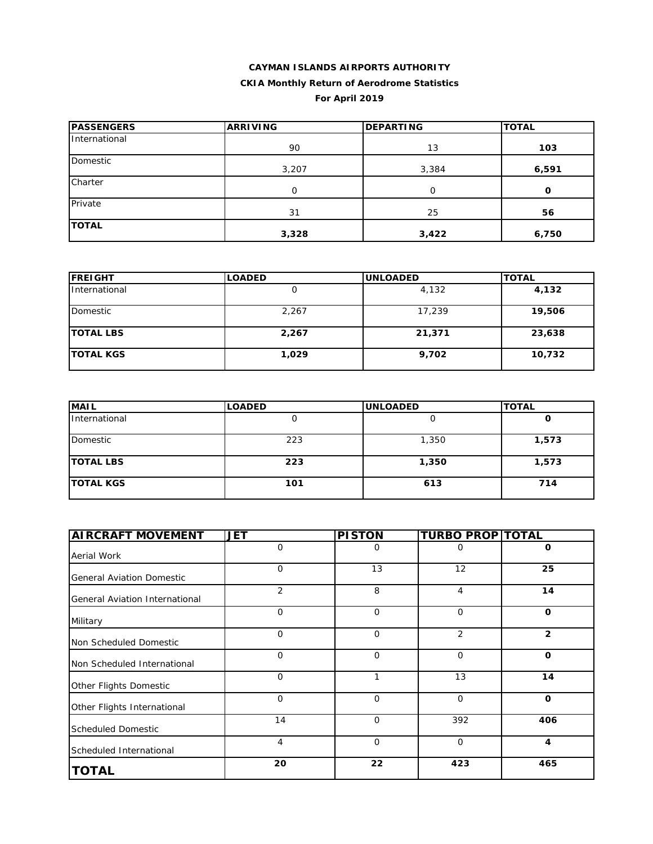### **CAYMAN ISLANDS AIRPORTS AUTHORITY CKIA Monthly Return of Aerodrome Statistics For April 2019**

| <b>PASSENGERS</b> | <b>ARRIVING</b> | <b>DEPARTING</b> | <b>TOTAL</b> |
|-------------------|-----------------|------------------|--------------|
| International     | 90              | 13               | 103          |
| Domestic          | 3,207           | 3,384            | 6,591        |
| Charter           | 0               | $\Omega$         | O            |
| Private           | 31              | 25               | 56           |
| <b>TOTAL</b>      | 3,328           | 3,422            | 6,750        |

| <b>FREIGHT</b>   | <b>LOADED</b> | <b>UNLOADED</b> | <b>TOTAL</b> |  |
|------------------|---------------|-----------------|--------------|--|
| International    |               | 4,132           | 4,132        |  |
| Domestic         | 2,267         | 17,239          | 19,506       |  |
| <b>TOTAL LBS</b> | 2,267         | 21,371          | 23,638       |  |
| <b>TOTAL KGS</b> | 1,029         | 9,702           | 10,732       |  |

| <b>MAIL</b>      | <b>LOADED</b> | <b>UNLOADED</b> | <b>TOTAL</b> |
|------------------|---------------|-----------------|--------------|
| International    | υ             |                 | u            |
| Domestic         | 223           | 1,350           | 1,573        |
| <b>TOTAL LBS</b> | 223           | 1,350           | 1,573        |
| <b>TOTAL KGS</b> | 101           | 613             | 714          |

| <b>AIRCRAFT MOVEMENT</b>         | <b>JET</b>     | <b>PISTON</b> | <b>TURBO PROP TOTAL</b> |                |
|----------------------------------|----------------|---------------|-------------------------|----------------|
| Aerial Work                      | 0              | 0             | 0                       | 0              |
| <b>General Aviation Domestic</b> | 0              | 13            | 12                      | 25             |
| General Aviation International   | $\overline{2}$ | 8             | 4                       | 14             |
| Military                         | $\mathbf 0$    | $\Omega$      | $\mathbf 0$             | $\mathbf 0$    |
| Non Scheduled Domestic           | $\mathbf 0$    | $\mathbf 0$   | 2                       | $\overline{2}$ |
| Non Scheduled International      | 0              | $\mathbf 0$   | 0                       | $\mathbf 0$    |
| Other Flights Domestic           | $\mathbf{O}$   | 1             | 13                      | 14             |
| Other Flights International      | $\Omega$       | $\Omega$      | $\mathbf 0$             | $\mathbf 0$    |
| <b>Scheduled Domestic</b>        | 14             | $\Omega$      | 392                     | 406            |
| Scheduled International          | 4              | $\mathbf 0$   | $\mathbf 0$             | 4              |
| <b>TOTAL</b>                     | 20             | 22            | 423                     | 465            |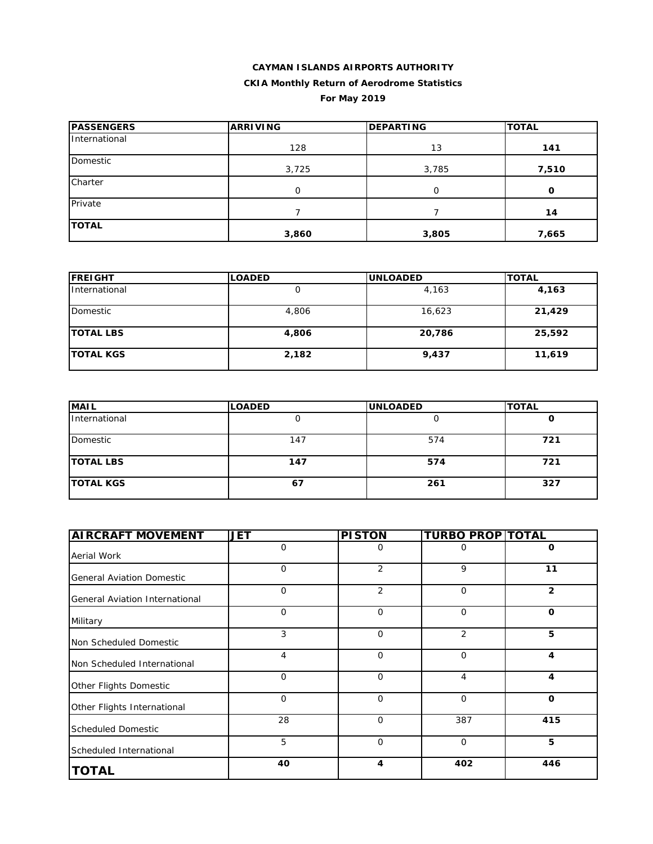## **CAYMAN ISLANDS AIRPORTS AUTHORITY**

### **CKIA Monthly Return of Aerodrome Statistics**

### **For May 2019**

| <b>PASSENGERS</b> | <b>ARRIVING</b> | <b>DEPARTING</b> | <b>TOTAL</b> |  |
|-------------------|-----------------|------------------|--------------|--|
| International     | 128             | 13               | 141          |  |
| Domestic          | 3,725           | 3,785            | 7,510        |  |
| Charter           | 0               | U                | $\mathbf{o}$ |  |
| Private           |                 |                  | 14           |  |
| <b>TOTAL</b>      | 3,860           | 3,805            | 7,665        |  |

| <b>FREIGHT</b>       | <b>LOADED</b> | <b>UNLOADED</b> | <b>TOTAL</b> |  |
|----------------------|---------------|-----------------|--------------|--|
| <i>International</i> |               | 4,163           | 4,163        |  |
| Domestic             | 4,806         | 16,623          | 21,429       |  |
| <b>TOTAL LBS</b>     | 4,806         | 20,786          | 25,592       |  |
| <b>TOTAL KGS</b>     | 2,182         | 9,437           | 11,619       |  |

| <b>MAIL</b>      | <b>LOADED</b> | <b>UNLOADED</b> | <b>TOTAL</b> |
|------------------|---------------|-----------------|--------------|
| International    |               |                 | u            |
| Domestic         | 147           | 574             | 721          |
| <b>TOTAL LBS</b> | 147           | 574             | 721          |
| <b>TOTAL KGS</b> | 67            | 261             | 327          |

| <b>AIRCRAFT MOVEMENT</b>         | <b>JET</b>     | <b>PISTON</b> | <b>TURBO PROP TOTAL</b> |                |
|----------------------------------|----------------|---------------|-------------------------|----------------|
| Aerial Work                      | O              | 0             | 0                       | 0              |
| <b>General Aviation Domestic</b> | $\overline{O}$ | 2             | 9                       | 11             |
| General Aviation International   | $\mathbf 0$    | 2             | $\mathbf 0$             | $\overline{2}$ |
| Military                         | $\mathbf 0$    | $\mathbf 0$   | $\Omega$                | $\mathbf 0$    |
| Non Scheduled Domestic           | 3              | $\mathbf 0$   | 2                       | 5              |
| Non Scheduled International      | $\overline{4}$ | $\mathbf 0$   | $\mathbf 0$             | 4              |
| Other Flights Domestic           | $\mathbf 0$    | $\mathbf 0$   | $\overline{4}$          | $\overline{4}$ |
| Other Flights International      | $\mathbf 0$    | $\mathbf 0$   | $\mathbf 0$             | $\mathbf 0$    |
| <b>Scheduled Domestic</b>        | 28             | $\Omega$      | 387                     | 415            |
| Scheduled International          | 5              | 0             | $\mathbf 0$             | 5              |
| <b>TOTAL</b>                     | 40             | 4             | 402                     | 446            |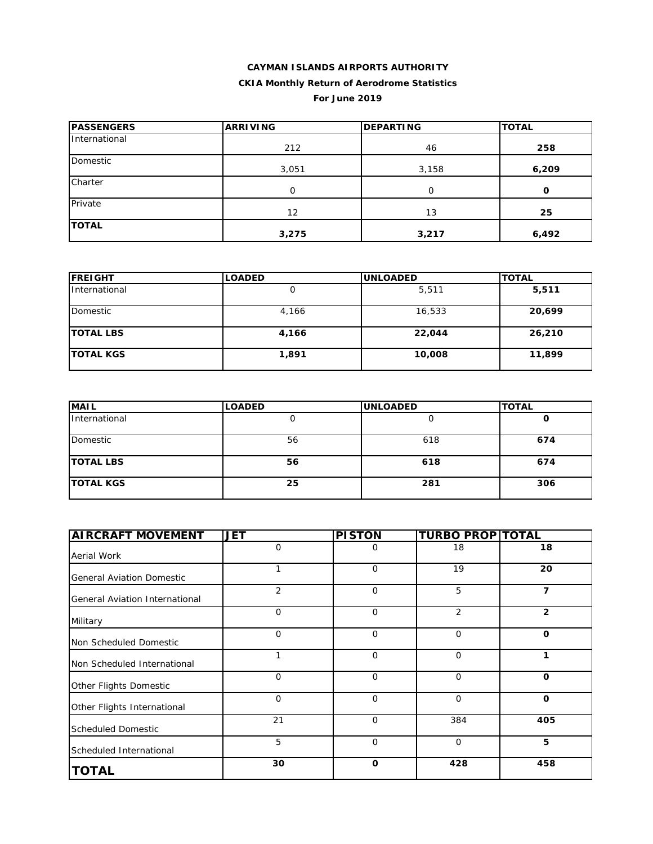# **CAYMAN ISLANDS AIRPORTS AUTHORITY**

### **CKIA Monthly Return of Aerodrome Statistics**

**For June 2019**

| <b>PASSENGERS</b> | <b>ARRIVING</b> | <b>DEPARTING</b> | <b>TOTAL</b> |
|-------------------|-----------------|------------------|--------------|
| International     | 212             | 46               | 258          |
| Domestic          | 3,051           | 3,158            | 6,209        |
| Charter           | 0               | $\Omega$         | O            |
| Private           | 12              | 13               | 25           |
| <b>TOTAL</b>      | 3,275           | 3,217            | 6,492        |

| <b>FREIGHT</b>   | <b>LOADED</b> | <b>UNLOADED</b> | <b>TOTAL</b> |
|------------------|---------------|-----------------|--------------|
| International    |               | 5,511           | 5,511        |
| Domestic         | 4,166         | 16,533          | 20,699       |
| <b>TOTAL LBS</b> | 4,166         | 22,044          | 26,210       |
| <b>TOTAL KGS</b> | 1,891         | 10,008          | 11,899       |

| <b>MAIL</b>      | <b>LOADED</b> | <b>UNLOADED</b> | <b>TOTAL</b> |
|------------------|---------------|-----------------|--------------|
| International    |               |                 |              |
| Domestic         | 56            | 618             | 674          |
| <b>TOTAL LBS</b> | 56            | 618             | 674          |
| <b>TOTAL KGS</b> | 25            | 281             | 306          |

| <b>AIRCRAFT MOVEMENT</b>         | <b>JET</b>     | <b>PISTON</b> | <b>TURBO PROP TOTAL</b> |                |
|----------------------------------|----------------|---------------|-------------------------|----------------|
| Aerial Work                      | $\Omega$       | 0             | 18                      | 18             |
| <b>General Aviation Domestic</b> |                | $\mathbf 0$   | 19                      | 20             |
| General Aviation International   | $\overline{2}$ | $\mathbf{O}$  | 5                       | 7              |
| Military                         | $\Omega$       | $\Omega$      | 2                       | $\overline{2}$ |
| Non Scheduled Domestic           | 0              | 0             | 0                       | 0              |
| Non Scheduled International      |                | 0             | 0                       | 1              |
| Other Flights Domestic           | $\Omega$       | $\Omega$      | $\Omega$                | $\Omega$       |
| Other Flights International      | $\Omega$       | 0             | $\overline{O}$          | $\mathbf 0$    |
| <b>Scheduled Domestic</b>        | 21             | $\mathbf 0$   | 384                     | 405            |
| Scheduled International          | 5              | 0             | $\mathbf 0$             | 5              |
| <b>TOTAL</b>                     | 30             | $\mathbf 0$   | 428                     | 458            |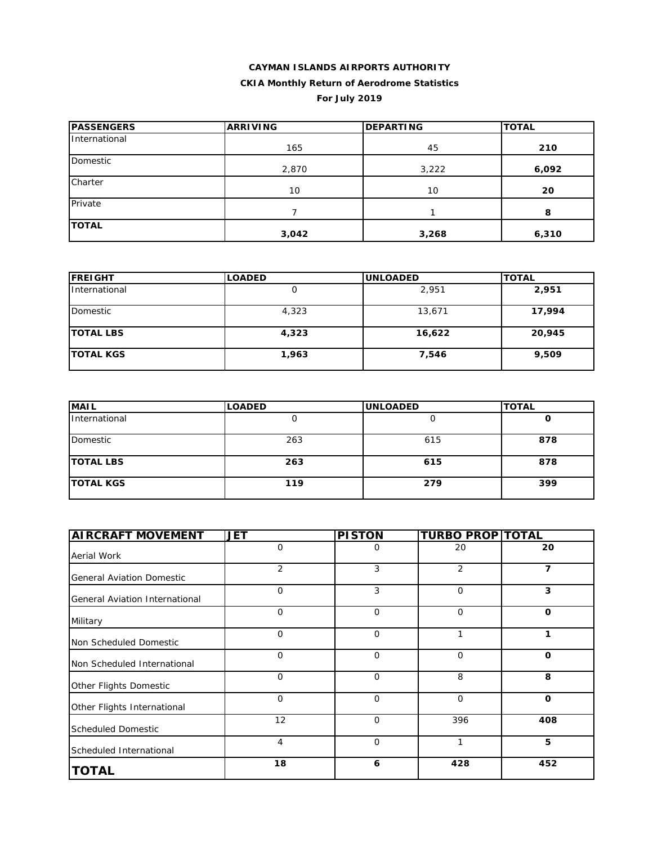## **CAYMAN ISLANDS AIRPORTS AUTHORITY CKIA Monthly Return of Aerodrome Statistics**

**For July 2019**

| <b>PASSENGERS</b> | <b>ARRIVING</b> | <b>DEPARTING</b> | <b>TOTAL</b> |  |
|-------------------|-----------------|------------------|--------------|--|
| International     | 165             | 45               | 210          |  |
| Domestic          | 2,870           | 3,222            | 6,092        |  |
| Charter           | 10              | 10               | 20           |  |
| Private           |                 |                  | 8            |  |
| <b>TOTAL</b>      | 3,042           | 3,268            | 6,310        |  |

| <b>FREIGHT</b>   | <b>LOADED</b> | <b>UNLOADED</b> | <b>TOTAL</b> |
|------------------|---------------|-----------------|--------------|
| International    |               | 2.951           | 2,951        |
| Domestic         | 4,323         | 13,671          | 17,994       |
| <b>TOTAL LBS</b> | 4,323         | 16,622          | 20,945       |
| <b>TOTAL KGS</b> | 1,963         | 7,546           | 9,509        |

| <b>MAIL</b>      | <b>LOADED</b> | <b>UNLOADED</b> | <b>TOTAL</b> |
|------------------|---------------|-----------------|--------------|
| International    |               |                 | U            |
| Domestic         | 263           | 615             | 878          |
| <b>TOTAL LBS</b> | 263           | 615             | 878          |
| <b>TOTAL KGS</b> | 119           | 279             | 399          |

| <b>AIRCRAFT MOVEMENT</b>         | <b>JET</b>  | <b>PISTON</b> | <b>TURBO PROP TOTAL</b> |             |
|----------------------------------|-------------|---------------|-------------------------|-------------|
| Aerial Work                      | 0           | 0             | 20                      | 20          |
| <b>General Aviation Domestic</b> | 2           | 3             | $\overline{2}$          | 7           |
| General Aviation International   | 0           | 3             | $\mathbf{O}$            | 3           |
| Military                         | 0           | $\Omega$      | $\mathbf{O}$            | $\Omega$    |
| Non Scheduled Domestic           | 0           | $\Omega$      | 1                       | 1           |
| Non Scheduled International      | 0           | $\mathbf 0$   | $\mathbf 0$             | $\mathbf 0$ |
| Other Flights Domestic           | $\mathbf 0$ | $\mathbf 0$   | 8                       | 8           |
| Other Flights International      | 0           | $\Omega$      | 0                       | $\Omega$    |
| <b>Scheduled Domestic</b>        | 12          | $\mathbf 0$   | 396                     | 408         |
| Scheduled International          | 4           | $\mathbf 0$   | 1                       | 5           |
| <b>TOTAL</b>                     | 18          | 6             | 428                     | 452         |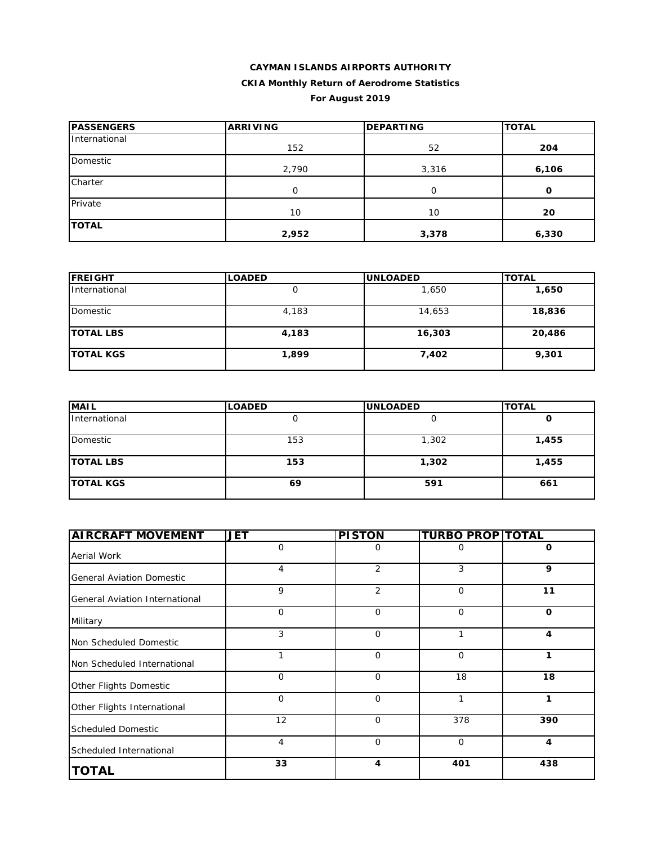### **CAYMAN ISLANDS AIRPORTS AUTHORITY CKIA Monthly Return of Aerodrome Statistics For August 2019**

| <b>PASSENGERS</b> | <b>ARRIVING</b> | <b>DEPARTING</b> | <b>TOTAL</b> |  |
|-------------------|-----------------|------------------|--------------|--|
| International     | 152             | 52               | 204          |  |
| Domestic          | 2,790           | 3,316            | 6,106        |  |
| Charter           | 0               | 0                | O            |  |
| Private           | 10              | 10               | 20           |  |
| <b>TOTAL</b>      | 2,952           | 3,378            | 6,330        |  |

| <b>FREIGHT</b>   | <b>LOADED</b> | <b>IUNLOADED</b> | <b>TOTAL</b> |
|------------------|---------------|------------------|--------------|
| International    |               | 1,650            | 1,650        |
| Domestic         | 4,183         | 14,653           | 18,836       |
| <b>TOTAL LBS</b> | 4,183         | 16,303           | 20,486       |
| <b>TOTAL KGS</b> | 1,899         | 7,402            | 9,301        |

| <b>MAIL</b>      | <b>LOADED</b> | <b>UNLOADED</b> | <b>TOTAL</b> |
|------------------|---------------|-----------------|--------------|
| International    |               |                 | u            |
| Domestic         | 153           | 1,302           | 1,455        |
| <b>TOTAL LBS</b> | 153           | 1,302           | 1,455        |
| <b>TOTAL KGS</b> | 69            | 591             | 661          |

| <b>AIRCRAFT MOVEMENT</b>         | <b>JET</b>   | <b>PISTON</b>  | <b>TURBO PROP TOTAL</b> |             |
|----------------------------------|--------------|----------------|-------------------------|-------------|
| Aerial Work                      | 0            | 0              | 0                       | 0           |
| <b>General Aviation Domestic</b> | 4            | 2              | 3                       | 9           |
| General Aviation International   | 9            | $\overline{2}$ | $\mathbf 0$             | 11          |
| Military                         | $\mathbf{O}$ | $\Omega$       | $\mathbf 0$             | $\mathbf 0$ |
| Non Scheduled Domestic           | 3            | $\Omega$       | 1                       | 4           |
| Non Scheduled International      | 1            | $\mathbf 0$    | $\mathbf 0$             | 1           |
| Other Flights Domestic           | $\mathbf{O}$ | $\mathbf 0$    | 18                      | 18          |
| Other Flights International      | $\Omega$     | $\Omega$       | 1                       | 1           |
| <b>Scheduled Domestic</b>        | 12           | $\Omega$       | 378                     | 390         |
| Scheduled International          | 4            | $\mathbf 0$    | $\mathbf 0$             | 4           |
| <b>TOTAL</b>                     | 33           | 4              | 401                     | 438         |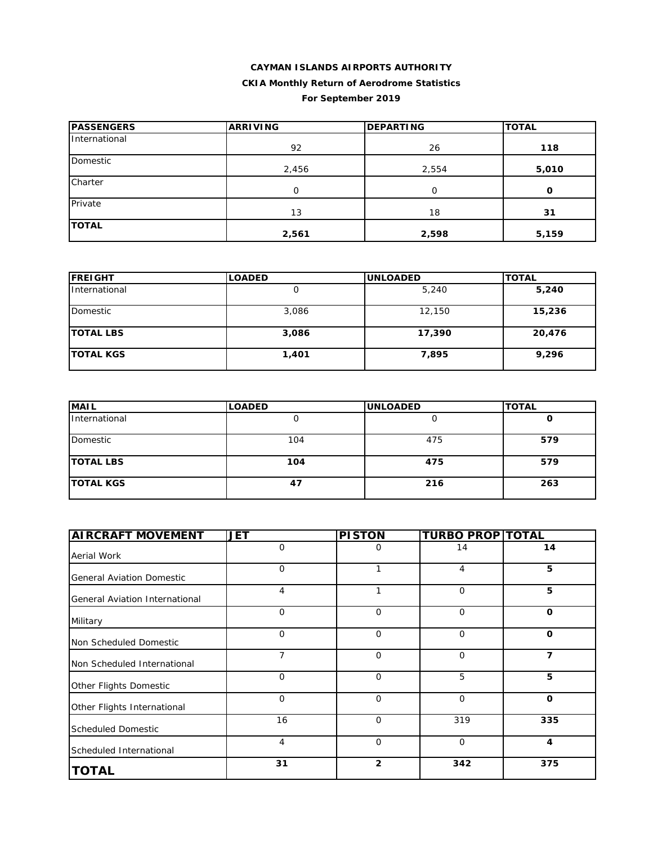### **CAYMAN ISLANDS AIRPORTS AUTHORITY CKIA Monthly Return of Aerodrome Statistics For September 2019**

| <b>PASSENGERS</b> | <b>ARRIVING</b> | <b>DEPARTING</b> | <b>TOTAL</b> |
|-------------------|-----------------|------------------|--------------|
| International     | 92              | 26               | 118          |
| Domestic          | 2,456           | 2,554            | 5,010        |
| Charter           | $\Omega$        | 0                | 0            |
| Private           | 13              | 18               | 31           |
| <b>TOTAL</b>      | 2,561           | 2,598            | 5,159        |

| <b>FREIGHT</b>   | <b>LOADED</b> | <b>UNLOADED</b> | <b>TOTAL</b> |
|------------------|---------------|-----------------|--------------|
| International    |               | 5,240           | 5,240        |
| Domestic         | 3,086         | 12,150          | 15,236       |
| <b>TOTAL LBS</b> | 3,086         | 17,390          | 20,476       |
| <b>TOTAL KGS</b> | 1,401         | 7,895           | 9,296        |

| <b>MAIL</b>      | <b>LOADED</b> | <b>UNLOADED</b> | <b>TOTAL</b> |
|------------------|---------------|-----------------|--------------|
| International    | ◡             |                 | u            |
| Domestic         | 104           | 475             | 579          |
| <b>TOTAL LBS</b> | 104           | 475             | 579          |
| <b>TOTAL KGS</b> | 47            | 216             | 263          |

| <b>AIRCRAFT MOVEMENT</b>         | JET            | <b>PISTON</b>  | <b>TURBO PROP TOTAL</b> |             |
|----------------------------------|----------------|----------------|-------------------------|-------------|
| Aerial Work                      | $\mathbf 0$    | 0              | 14                      | 14          |
| <b>General Aviation Domestic</b> | $\mathbf 0$    |                | 4                       | 5           |
| General Aviation International   | $\overline{4}$ | 1              | $\mathbf 0$             | 5           |
| Military                         | $\mathbf 0$    | $\Omega$       | $\mathbf 0$             | $\mathbf 0$ |
| Non Scheduled Domestic           | $\mathbf 0$    | $\mathbf 0$    | $\mathbf 0$             | $\mathbf 0$ |
| Non Scheduled International      | 7              | $\mathbf 0$    | 0                       | 7           |
| Other Flights Domestic           | $\mathbf 0$    | $\mathbf 0$    | 5                       | 5           |
| Other Flights International      | $\mathbf 0$    | $\mathbf 0$    | $\mathbf 0$             | $\mathbf 0$ |
| <b>Scheduled Domestic</b>        | 16             | $\Omega$       | 319                     | 335         |
| Scheduled International          | $\overline{4}$ | $\mathbf 0$    | $\mathbf 0$             | 4           |
| <b>TOTAL</b>                     | 31             | $\overline{2}$ | 342                     | 375         |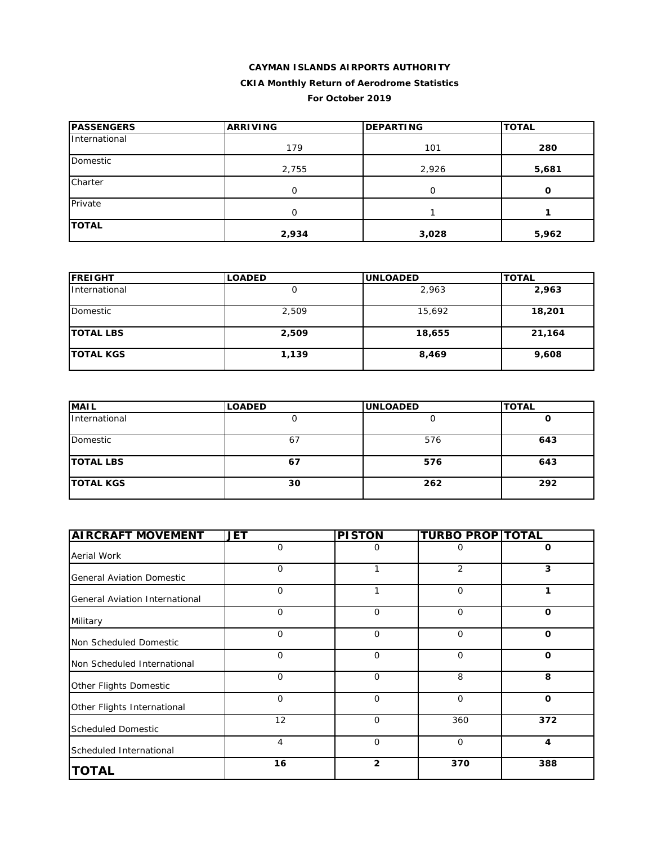### **CAYMAN ISLANDS AIRPORTS AUTHORITY CKIA Monthly Return of Aerodrome Statistics For October 2019**

| <b>PASSENGERS</b> | <b>ARRIVING</b> | <b>DEPARTING</b> | <b>TOTAL</b> |
|-------------------|-----------------|------------------|--------------|
| International     | 179             | 101              | 280          |
| Domestic          | 2,755           | 2,926            | 5,681        |
| Charter           | 0               | 0                | O            |
| Private           | 0               |                  |              |
| <b>TOTAL</b>      | 2,934           | 3,028            | 5,962        |

| <b>FREIGHT</b>   | <b>LOADED</b> | <b>UNLOADED</b> | <b>TOTAL</b> |
|------------------|---------------|-----------------|--------------|
| International    |               | 2,963           | 2,963        |
| Domestic         | 2,509         | 15,692          | 18,201       |
| <b>TOTAL LBS</b> | 2,509         | 18,655          | 21,164       |
| <b>TOTAL KGS</b> | 1,139         | 8,469           | 9,608        |

| <b>MAIL</b>      | <b>LOADED</b> | <b>UNLOADED</b> | <b>TOTAL</b> |
|------------------|---------------|-----------------|--------------|
| International    |               |                 |              |
| Domestic         | 67            | 576             | 643          |
| <b>TOTAL LBS</b> | 67            | 576             | 643          |
| <b>TOTAL KGS</b> | 30            | 262             | 292          |

| <b>AIRCRAFT MOVEMENT</b>         | <b>JET</b>   | <b>PISTON</b>  | <b>TURBO PROP TOTAL</b> |             |
|----------------------------------|--------------|----------------|-------------------------|-------------|
| Aerial Work                      | 0            | 0              | 0                       | O           |
| <b>General Aviation Domestic</b> | 0            | 1              | 2                       | 3           |
| General Aviation International   | $\mathbf{O}$ | 1              | 0                       | 1           |
| Military                         | $\mathbf{O}$ | $\Omega$       | $\mathbf{O}$            | $\mathbf 0$ |
| Non Scheduled Domestic           | $\mathbf{O}$ | $\mathbf 0$    | $\mathbf 0$             | O           |
| Non Scheduled International      | $\mathbf{O}$ | $\mathbf 0$    | $\mathbf 0$             | $\mathbf 0$ |
| Other Flights Domestic           | $\mathbf{O}$ | $\mathbf 0$    | 8                       | 8           |
| Other Flights International      | $\mathbf 0$  | $\mathbf 0$    | $\mathbf 0$             | $\mathbf 0$ |
| <b>Scheduled Domestic</b>        | 12           | $\Omega$       | 360                     | 372         |
| Scheduled International          | 4            | $\mathbf 0$    | $\mathbf 0$             | 4           |
| <b>TOTAL</b>                     | 16           | $\overline{2}$ | 370                     | 388         |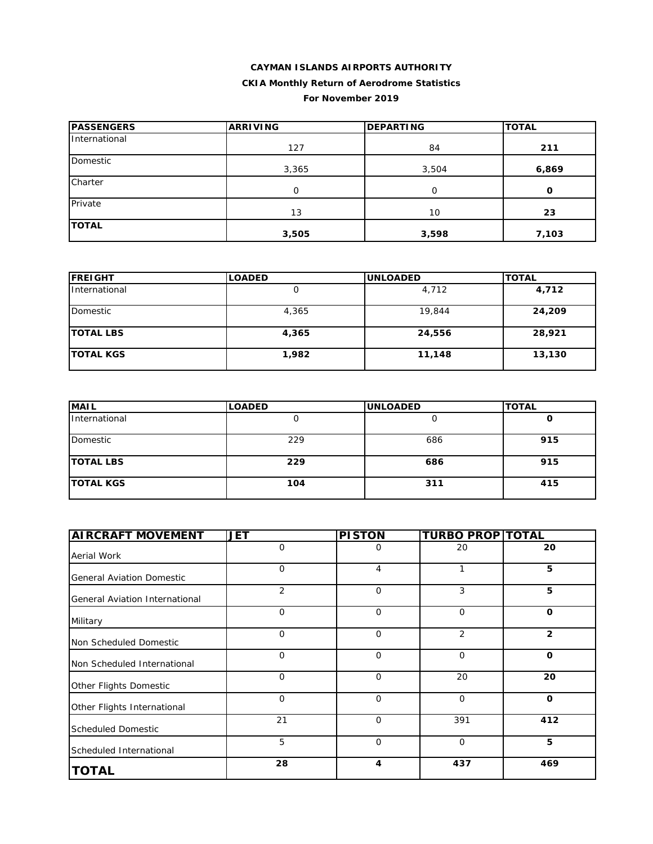### **CAYMAN ISLANDS AIRPORTS AUTHORITY**

### **CKIA Monthly Return of Aerodrome Statistics**

#### **For November 2019**

| <b>IPASSENGERS</b> | <b>ARRIVING</b> | <b>DEPARTING</b> | <b>TOTAL</b> |  |
|--------------------|-----------------|------------------|--------------|--|
| International      | 127             | 84               | 211          |  |
| Domestic           | 3,365           | 3,504            | 6,869        |  |
| Charter            | 0               | $\Omega$         | 0            |  |
| Private            | 13              | 10               | 23           |  |
| <b>TOTAL</b>       | 3,505           | 3,598            | 7,103        |  |

| <b>FREIGHT</b>   | <b>LOADED</b> | <b>UNLOADED</b> | <b>TOTAL</b> |
|------------------|---------------|-----------------|--------------|
| International    |               | 4,712           | 4,712        |
| Domestic         | 4,365         | 19,844          | 24,209       |
| <b>TOTAL LBS</b> | 4,365         | 24,556          | 28,921       |
| <b>TOTAL KGS</b> | 1,982         | 11,148          | 13,130       |

| <b>MAIL</b>      | <b>LOADED</b> | <b>UNLOADED</b> | <b>TOTAL</b> |
|------------------|---------------|-----------------|--------------|
| International    |               |                 | u            |
| Domestic         | 229           | 686             | 915          |
| <b>TOTAL LBS</b> | 229           | 686             | 915          |
| <b>TOTAL KGS</b> | 104           | 311             | 415          |

| <b>AIRCRAFT MOVEMENT</b>         | JET         | <b>PISTON</b>           | <b>TURBO PROP TOTAL</b> |                |
|----------------------------------|-------------|-------------------------|-------------------------|----------------|
| Aerial Work                      | $\mathbf 0$ | 0                       | 20                      | 20             |
| <b>General Aviation Domestic</b> | $\mathbf 0$ | 4                       | 1                       | 5              |
| General Aviation International   | 2           | $\mathbf 0$             | 3                       | 5              |
| Military                         | $\mathbf 0$ | $\mathbf 0$             | $\mathbf 0$             | $\mathbf{o}$   |
| Non Scheduled Domestic           | $\mathbf 0$ | $\mathbf 0$             | 2                       | $\overline{2}$ |
| Non Scheduled International      | $\mathbf 0$ | $\mathbf 0$             | $\mathbf 0$             | $\mathbf{o}$   |
| Other Flights Domestic           | $\mathbf 0$ | $\mathbf 0$             | 20                      | 20             |
| Other Flights International      | $\mathbf 0$ | $\mathbf 0$             | $\mathbf 0$             | $\mathbf{o}$   |
| <b>Scheduled Domestic</b>        | 21          | $\Omega$                | 391                     | 412            |
| Scheduled International          | 5           | $\mathbf 0$             | 0                       | 5              |
| <b>TOTAL</b>                     | 28          | $\overline{\mathbf{4}}$ | 437                     | 469            |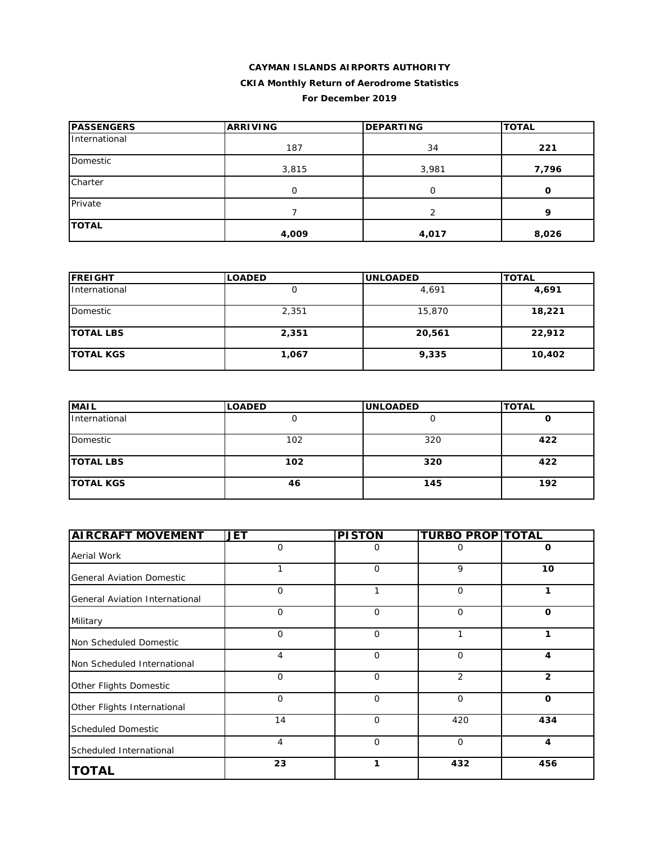### **CAYMAN ISLANDS AIRPORTS AUTHORITY CKIA Monthly Return of Aerodrome Statistics For December 2019**

| <b>IPASSENGERS</b> | <b>ARRIVING</b> | <b>DEPARTING</b> | <b>TOTAL</b> |  |
|--------------------|-----------------|------------------|--------------|--|
| International      | 187             | 34               | 221          |  |
| Domestic           | 3,815           | 3,981            | 7,796        |  |
| Charter            | $\Omega$        | O                | 0            |  |
| Private            |                 | っ                | o            |  |
| <b>TOTAL</b>       | 4,009           | 4,017            | 8,026        |  |

| <b>FREIGHT</b>   | <b>LOADED</b> | <b>UNLOADED</b> | <b>TOTAL</b> |
|------------------|---------------|-----------------|--------------|
| International    |               | 4,691           | 4,691        |
| Domestic         | 2,351         | 15,870          | 18,221       |
| <b>TOTAL LBS</b> | 2,351         | 20,561          | 22,912       |
| <b>TOTAL KGS</b> | 1,067         | 9,335           | 10,402       |

| <b>MAIL</b>      | <b>LOADED</b> | <b>UNLOADED</b> | <b>TOTAL</b> |
|------------------|---------------|-----------------|--------------|
| International    |               |                 | u            |
| Domestic         | 102           | 320             | 422          |
| <b>TOTAL LBS</b> | 102           | 320             | 422          |
| <b>TOTAL KGS</b> | 46            | 145             | 192          |

| <b>AIRCRAFT MOVEMENT</b>         | <b>JET</b>   | <b>PISTON</b> | <b>TURBO PROP TOTAL</b> |                |
|----------------------------------|--------------|---------------|-------------------------|----------------|
| Aerial Work                      | $\mathbf{O}$ | 0             | 0                       | $\Omega$       |
| <b>General Aviation Domestic</b> | $\mathbf{1}$ | $\mathbf 0$   | 9                       | 10             |
| General Aviation International   | 0            | 1             | $\mathbf 0$             | 1              |
| Military                         | $\mathbf{O}$ | $\mathbf 0$   | $\mathbf 0$             | $\mathbf 0$    |
| Non Scheduled Domestic           | $\mathbf{O}$ | $\Omega$      | 1                       | 1              |
| Non Scheduled International      | 4            | $\mathbf 0$   | $\mathbf 0$             | 4              |
| Other Flights Domestic           | $\mathbf{O}$ | $\Omega$      | 2                       | $\overline{2}$ |
| Other Flights International      | $\mathbf{O}$ | $\Omega$      | $\mathbf 0$             | $\mathbf 0$    |
| <b>Scheduled Domestic</b>        | 14           | $\Omega$      | 420                     | 434            |
| Scheduled International          | 4            | $\mathbf 0$   | $\mathbf 0$             | 4              |
| <b>TOTAL</b>                     | 23           | 1             | 432                     | 456            |